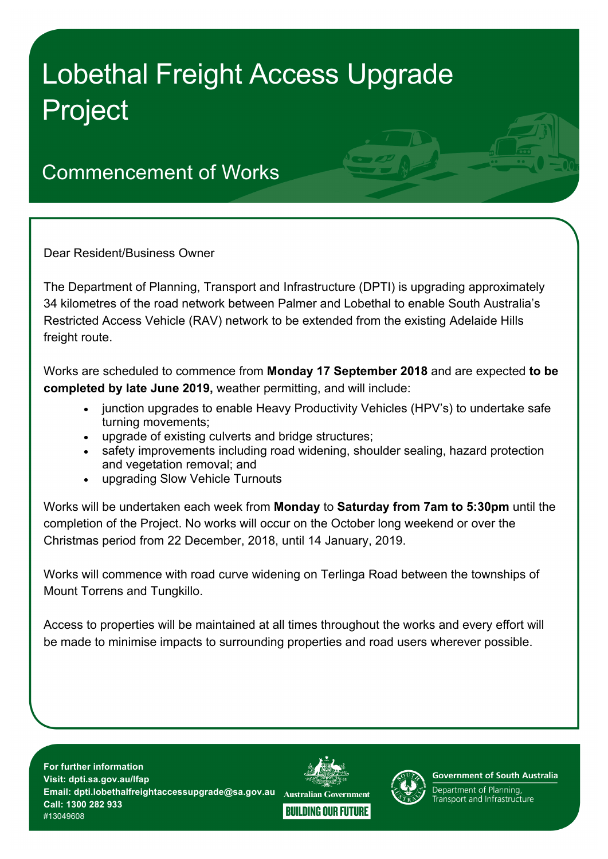## Lobethal Freight Access Upgrade Project

## Commencement of Works

Dear Resident/Business Owner

The Department of Planning, Transport and Infrastructure (DPTI) is upgrading approximately 34 kilometres of the road network between Palmer and Lobethal to enable South Australia's Restricted Access Vehicle (RAV) network to be extended from the existing Adelaide Hills freight route.

Works are scheduled to commence from **Monday 17 September 2018** and are expected **to be completed by late June 2019,** weather permitting, and will include:

- junction upgrades to enable Heavy Productivity Vehicles (HPV's) to undertake safe turning movements;
- upgrade of existing culverts and bridge structures;
- safety improvements including road widening, shoulder sealing, hazard protection and vegetation removal; and
- upgrading Slow Vehicle Turnouts

Works will be undertaken each week from **Monday** to **Saturday from 7am to 5:30pm** until the completion of the Project. No works will occur on the October long weekend or over the Christmas period from 22 December, 2018, until 14 January, 2019.

Works will commence with road curve widening on Terlinga Road between the townships of Mount Torrens and Tungkillo.

Access to properties will be maintained at all times throughout the works and every effort will be made to minimise impacts to surrounding properties and road users wherever possible.

**For further information Visit: dpti.sa.gov.au/lfap Email: dpti.lobethalfreightaccessupgrade@sa.gov.au Call: 1300 282 933** #13049608





**Government of South Australia** 

Department of Planning, Fransport and Infrastructure